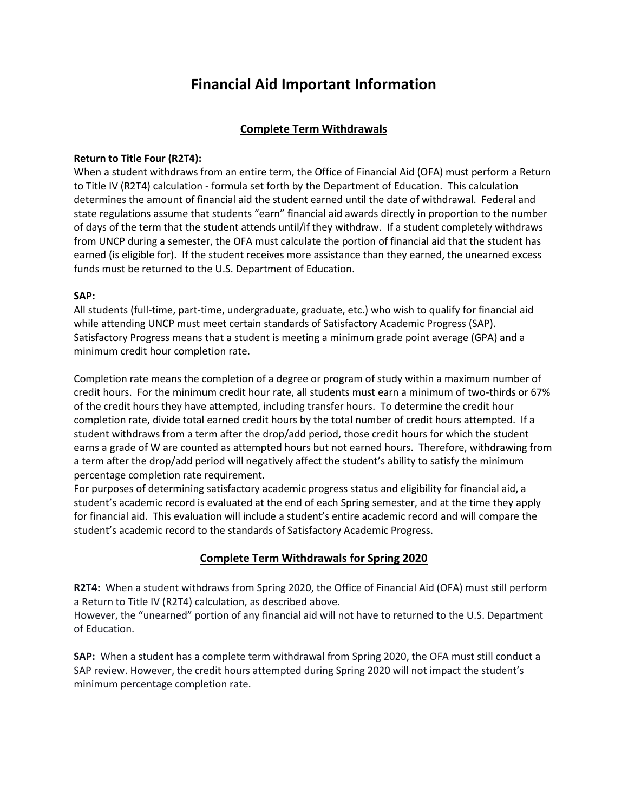# **Financial Aid Important Information**

# **Complete Term Withdrawals**

#### **Return to Title Four (R2T4):**

When a student withdraws from an entire term, the Office of Financial Aid (OFA) must perform a Return to Title IV (R2T4) calculation - formula set forth by the Department of Education. This calculation determines the amount of financial aid the student earned until the date of withdrawal. Federal and state regulations assume that students "earn" financial aid awards directly in proportion to the number of days of the term that the student attends until/if they withdraw. If a student completely withdraws from UNCP during a semester, the OFA must calculate the portion of financial aid that the student has earned (is eligible for). If the student receives more assistance than they earned, the unearned excess funds must be returned to the U.S. Department of Education.

#### **SAP:**

All students (full-time, part-time, undergraduate, graduate, etc.) who wish to qualify for financial aid while attending UNCP must meet certain standards of Satisfactory Academic Progress (SAP). Satisfactory Progress means that a student is meeting a minimum grade point average (GPA) and a minimum credit hour completion rate.

Completion rate means the completion of a degree or program of study within a maximum number of credit hours. For the minimum credit hour rate, all students must earn a minimum of two-thirds or 67% of the credit hours they have attempted, including transfer hours. To determine the credit hour completion rate, divide total earned credit hours by the total number of credit hours attempted. If a student withdraws from a term after the drop/add period, those credit hours for which the student earns a grade of W are counted as attempted hours but not earned hours. Therefore, withdrawing from a term after the drop/add period will negatively affect the student's ability to satisfy the minimum percentage completion rate requirement.

For purposes of determining satisfactory academic progress status and eligibility for financial aid, a student's academic record is evaluated at the end of each Spring semester, and at the time they apply for financial aid. This evaluation will include a student's entire academic record and will compare the student's academic record to the standards of Satisfactory Academic Progress.

## **Complete Term Withdrawals for Spring 2020**

**R2T4:** When a student withdraws from Spring 2020, the Office of Financial Aid (OFA) must still perform a Return to Title IV (R2T4) calculation, as described above.

However, the "unearned" portion of any financial aid will not have to returned to the U.S. Department of Education.

**SAP:** When a student has a complete term withdrawal from Spring 2020, the OFA must still conduct a SAP review. However, the credit hours attempted during Spring 2020 will not impact the student's minimum percentage completion rate.